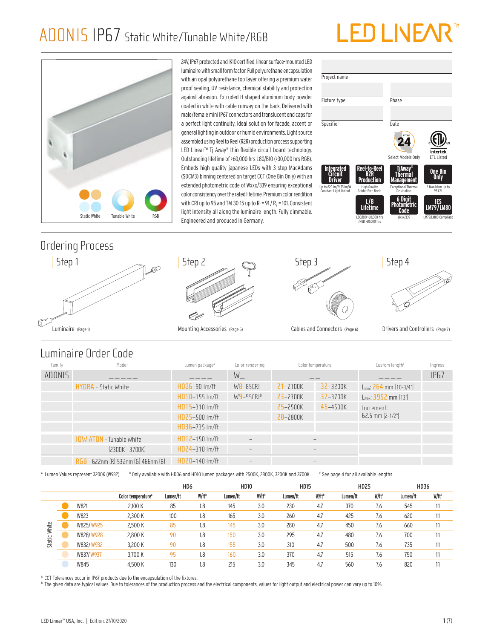# LED LINE/



| HTURA – STATIC WHITE                | TIJUD-30 IIII/II   | WO-85LRI    | $C$ $ C$ $1$ $U$ $U$ $K$ | J L-J CUUN | $L_{min}$ : $CD4$ MM $[10-3/4$ <sup>-</sup> |  |
|-------------------------------------|--------------------|-------------|--------------------------|------------|---------------------------------------------|--|
|                                     | $HD10-155$ $Im/ft$ | $W9-95CRIB$ | $23 - 2300K$             | 37-3700K   | $L_{max}$ ; 3952 mm [13]                    |  |
|                                     | $HD15-310$ $Im/ft$ |             | 25-2500K                 | 45-4500K   | Increment:                                  |  |
|                                     | $HD25-500$ $Im/ft$ |             | 28-2800K                 |            | $62.5$ mm $[2-1/2"$                         |  |
|                                     | $HDB6-735$ Im/ft   |             |                          |            |                                             |  |
| <b>IQW ATON</b> - Tunable White     | HD12-150 Im/ft     |             |                          |            |                                             |  |
| $[2300K - 3700K]$                   | $HDZ4-310$ $Im/ft$ | $-$         |                          |            |                                             |  |
| RGB - 622nm (R) 532nm (G) 466nm (B) | $HDZ0-140$ lm/ft   | -           |                          |            |                                             |  |

<sup>A</sup> Lumen Values represent 3200K (W932). <sup>B</sup> Only available with HD06 and HD10 lumen packages with 2500K, 2800K, 3200K and 3700K. Clear page 4 for all available lengths.

|        |           |                                | HD <sub>6</sub> |                      | <b>HD10</b> |                   | <b>HD15</b> |                   | <b>HD25</b> |                   | <b>HD36</b> |                   |
|--------|-----------|--------------------------------|-----------------|----------------------|-------------|-------------------|-------------|-------------------|-------------|-------------------|-------------|-------------------|
|        |           | Color temperature <sup>A</sup> | Lumen/ft        | $W$ /ft <sup>B</sup> | Lumen/ft    | W/ft <sup>B</sup> | Lumen/ft    | W/ft <sup>B</sup> | Lumen/ft    | W/ft <sup>B</sup> | Lumen/ft    | W/ft <sup>B</sup> |
|        | W821      | 2.100 K                        | 85              | 1.8                  | 145         | 3.0               | 230         | 4.7               | 370         | 7.6               | 545         | 11                |
|        | W823      | 2,300 K                        | 100             | 1.8                  | 165         | 3.0               | 260         | 4.7               | 425         | 7.6               | 620         | 11                |
| White  | W825/W925 | 2,500 K                        | 85              | 1.8                  | 145         | 3.0               | 280         | 4.7               | 450         | 7.6               | 660         | 11                |
|        | W828/W928 | 2,800 K                        | 90              | 1.8                  | 150         | 3.0               | 295         | 4.7               | 480         | 7.6               | 700         | 11                |
| Static | W832/W932 | 3,200 K                        | 90              | 1.8                  | 155         | 3.0               | 310         | 4.7               | 500         | 7.6               | 735         | 11                |
|        | W837/W937 | 3.700 K                        | 95              | 1.8                  | 160         | 3.0               | 370         | 4.7               | 515         | 7.6               | 750         | 11                |
|        | W845      | 4,500 K                        | 130             | 1.8                  | 215         | 3.0               | 345         | 4.7               | 560         | 7.6               | 820         | 11                |

<sup>A</sup> CCT Tolerances occur in IP67 products due to the encapsulation of the fixtures.

 $^{\circ}$  The given data are typical values. Due to tolerances of the production process and the electrical components, values for light output and electrical power can vary up to 10%.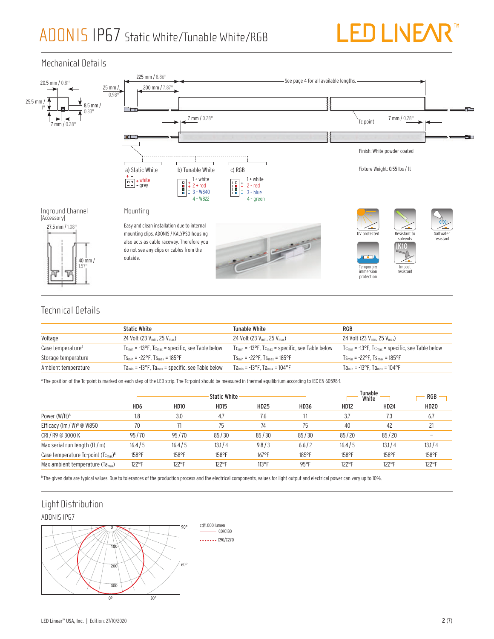





### Technical Details

|                               | <b>Static White</b>                                        | Tunable White                                                                     | RGB                                                                 |
|-------------------------------|------------------------------------------------------------|-----------------------------------------------------------------------------------|---------------------------------------------------------------------|
| Voltage                       | 24 Volt (23 $V_{\text{min}}$ , 25 $V_{\text{max}}$ )       | 24 Volt (23 $V_{\text{min}}$ , 25 $V_{\text{max}}$ )                              | 24 Volt (23 $V_{\text{min}}$ , 25 $V_{\text{max}}$ )                |
| Case temperature <sup>A</sup> | $Tc_{min}$ = -13°F, $Tc_{max}$ = specific, see Table below | $Tc_{min}$ = -13°F, $Tc_{max}$ = specific, see Table below                        | $Tc_{min}$ = -13°F, $Tc_{max}$ = specific, see Table below          |
| Storage temperature           | $Ts_{\min}$ = -22°F, $Ts_{\max}$ = 185°F                   | $Ts_{\text{min}} = -22^{\circ}F$ . $Ts_{\text{max}} = 185^{\circ}F$               | $Ts_{\text{min}} = -22^{\circ}F$ . $Ts_{\text{max}} = 185^{\circ}F$ |
| Ambient temperature           | $Ta_{min}$ = -13°F, $Ta_{max}$ = specific, see Table below | $Ta_{\text{min}} = -13^{\circ}\text{F}$ , $Ta_{\text{max}} = 104^{\circ}\text{F}$ | $Ta_{\min}$ = -13°F, $Ta_{\max}$ = 104°F                            |

A The position of the Tc-point is marked on each step of the LED strip. The Tc-point should be measured in thermal equilibrium according to IEC EN 60598-1.

|                                                                                       |        |             | <b>Static White</b> |             |                |             | Tunable              | RGB         |
|---------------------------------------------------------------------------------------|--------|-------------|---------------------|-------------|----------------|-------------|----------------------|-------------|
|                                                                                       | HD6    | <b>HD10</b> | <b>HD15</b>         | <b>HD25</b> | <b>HD36</b>    | <b>HD12</b> | White<br><b>HD24</b> | <b>HD20</b> |
| Power $(W/ft)^B$                                                                      | 1.8    | 3.0         | 4.7                 | 7.6         |                | 3.7         | 7.3                  | 6.7         |
| Efficacy (lm / W) <sup>B</sup> @ W850                                                 | 70     | 71          | 75                  | 74          | 75             | 40          | 42                   |             |
| CRI/R9 @ 3000 K                                                                       | 95/70  | 95/70       | 85/30               | 85/30       | 85/30          | 85/20       | 85/20                |             |
| Max serial run length (ft $/m$ )                                                      | 16.4/5 | 16.4/5      | 13.1/4              | 9.8/3       | 6.6/2          | 16.4/5      | 13.1/4               | 13.1/4      |
| Case temperature $\mathsf{Ic\text{-}point}$ ( $\mathsf{Ic\text{-}max}$ ) <sup>8</sup> | 158°F  | $158$ °F    | 158°F               | $167$ °F    | 185°F          | 158°F       | 158°F                | 158°F       |
| Max ambient temperature (Ta <sub>max</sub> )                                          | 122°F  | 122°F       | 122°F               | 113°F       | $95^{\circ}$ F | 122°F       | 122°F                | 122°F       |

 $^{\rm 8}$  The given data are typical values. Due to tolerances of the production process and the electrical components, values for light output and electrical power can vary up to 10%.

### Light Distribution ADONIS IP67



 $-$  CO/C180  $\cdots$   $\cdots$  C90/C270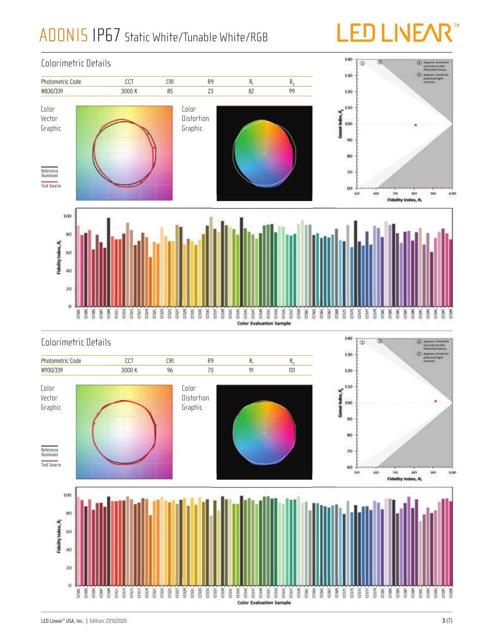# **TM**

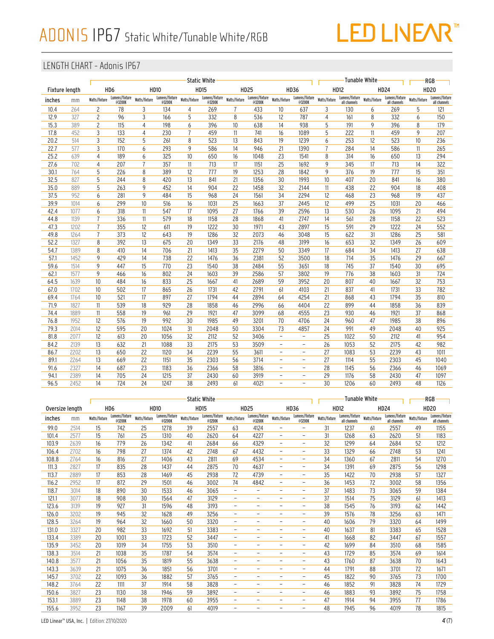

|                 |              |                |                 |               |                |                | <b>Static White</b> |                                                      |                                                      |                                                      |                                                                                                                                                                                                                                                               |               | Tunable White-               |             |                |               | RGB                  |
|-----------------|--------------|----------------|-----------------|---------------|----------------|----------------|---------------------|------------------------------------------------------|------------------------------------------------------|------------------------------------------------------|---------------------------------------------------------------------------------------------------------------------------------------------------------------------------------------------------------------------------------------------------------------|---------------|------------------------------|-------------|----------------|---------------|----------------------|
|                 |              |                | HD <sub>6</sub> |               | <b>HD10</b>    |                | <b>HD15</b>         |                                                      | <b>HD25</b>                                          |                                                      | <b>HD36</b>                                                                                                                                                                                                                                                   |               | <b>HD12</b>                  |             | <b>HD24</b>    |               | <b>HD20</b>          |
| Fixture length  |              |                | Lumens/fixture  |               | Lumens/fixture |                | Lumens/fixture      |                                                      | Lumens/fixture                                       |                                                      | Lumens/fixture                                                                                                                                                                                                                                                |               | Lumens/fixture watts/fixture |             | Lumens/fixture |               | Lumens/fixture       |
| inches          | mm           | Watts/fixture  | @3200K          | Watts/fixture | @3200K         | Watts/fixture  | @3200K              | Watts/fixture                                        | @3200K                                               | Watts/fixture                                        | @3200K                                                                                                                                                                                                                                                        | Watts/fixture | all channels                 |             | all channels   | Watts/fixture | all channels         |
| 10.4            | 264          | 2              | 78              | 3             | 134            | 4              | 269                 | 7                                                    | 433                                                  | 10                                                   | 637                                                                                                                                                                                                                                                           | 3             | 130                          | 6           | 269            | 5             | 121                  |
| 12.9<br>15.3    | 327<br>389   | 2<br>2         | 96<br>115       | 3<br>4        | 166<br>198     | 5<br>6         | 332<br>396          | 8<br>10                                              | 536<br>638                                           | 12<br>14                                             | 787<br>938                                                                                                                                                                                                                                                    | 4<br>5        | 161<br>191                   | 8<br>9      | 332<br>396     | 6<br>8        | 150<br>179           |
| 17.8            | 452          | 3              | 133             | 4             | 230            | $\overline{1}$ | 459                 | 11                                                   | 741                                                  | 16                                                   | 1089                                                                                                                                                                                                                                                          | 5             | 222                          | 11          | 459            | 9             | 207                  |
| 20.2            | 514          | 3              | 152             | 5             | 261            | 8              | 523                 | 13                                                   | 843                                                  | 19                                                   | 1239                                                                                                                                                                                                                                                          | 6             | 253                          | 12          | 523            | 10            | 236                  |
| 22.7            | 577          | 3              | 170             | 6             | 293            | 9              | 586                 | 14                                                   | 946                                                  | 21                                                   | 1390                                                                                                                                                                                                                                                          | 7             | 284                          | 14          | 586            | 11            | 265                  |
| 25.2            | 639          | 4              | 189             | 6             | 325            | 10             | 650                 | 16                                                   | 1048                                                 | 23                                                   | 1541                                                                                                                                                                                                                                                          | 8             | 314                          | 16          | 650            | 13            | 294                  |
| 27.6            | 702          | 4              | 207             | 7             | 357            | 11             | 713                 | 17                                                   | 1151                                                 | 25                                                   | 1692                                                                                                                                                                                                                                                          | 9             | 345                          | 17          | 713            | 14            | 322                  |
| 30.1            | 764          | 5              | 226             | 8             | 389            | 12             | 777                 | 19                                                   | 1253                                                 | 28                                                   | 1842                                                                                                                                                                                                                                                          | 9             | 376                          | 19          | 777            | 15            | 351                  |
| 32.5            | 827          | 5              | 244             | 8             | 420            | 13             | 841                 | 21                                                   | 1356                                                 | 30                                                   | 1993                                                                                                                                                                                                                                                          | 10            | 407                          | 20          | 841            | 16            | 380                  |
| 35.0            | 889          | 5              | 263             | 9             | 452            | 14             | 904                 | 22                                                   | 1458                                                 | 32                                                   | 2144                                                                                                                                                                                                                                                          | 11            | 438                          | 22          | 904            | 18            | 408                  |
| 37.5<br>39.9    | 952          | 6<br>6         | 281<br>299      | 9<br>10       | 484            | 15<br>16       | 968                 | 24<br>25                                             | 1561                                                 | 34<br>37                                             | 2294                                                                                                                                                                                                                                                          | 12<br>12      | 468<br>499                   | 23<br>25    | 968            | 19<br>20      | 437                  |
| 42.4            | 1014<br>1077 | 6              | 318             | 11            | 516<br>547     | 17             | 1031<br>1095        | 27                                                   | 1663<br>1766                                         | 39                                                   | 2445<br>2596                                                                                                                                                                                                                                                  | 13            | 530                          | 26          | 1031<br>1095   | 21            | 466<br>494           |
| 44.8            | 1139         | $\overline{1}$ | 336             | 11            | 579            | 18             | 1158                | 28                                                   | 1868                                                 | 41                                                   | 2747                                                                                                                                                                                                                                                          | 14            | 561                          | 28          | 1158           | 22            | 523                  |
| 47.3            | 1202         | $\overline{1}$ | 355             | 12            | 611            | 19             | 1222                | 30                                                   | 1971                                                 | 43                                                   | 2897                                                                                                                                                                                                                                                          | 15            | 591                          | 29          | 1222           | 24            | 552                  |
| 49.8            | 1264         | $\overline{7}$ | 373             | 12            | 643            | 19             | 1286                | 32                                                   | 2073                                                 | 46                                                   | 3048                                                                                                                                                                                                                                                          | 15            | 622                          | 31          | 1286           | 25            | 581                  |
| 52.2            | 1327         | 8              | 392             | 13            | 675            | 20             | 1349                | 33                                                   | 2176                                                 | 48                                                   | 3199                                                                                                                                                                                                                                                          | 16            | 653                          | 32          | 1349           | 26            | 609                  |
| 54.7            | 1389         | 8              | 410             | 14            | 706            | 21             | 1413                | 35                                                   | 2279                                                 | 50                                                   | 3349                                                                                                                                                                                                                                                          | 17            | 684                          | 34          | 1413           | 27            | 638                  |
| 57.1            | 1452         | 9              | 429             | 14            | 738            | 22             | 1476                | 36                                                   | 2381                                                 | 52                                                   | 3500                                                                                                                                                                                                                                                          | 18            | 714                          | 35          | 1476           | 29            | 667                  |
| 59.6            | 1514         | 9              | 447             | 15            | 770            | 23             | 1540                | 38                                                   | 2484                                                 | 55                                                   | 3651                                                                                                                                                                                                                                                          | 18            | 745                          | 37          | 1540           | 30            | 695                  |
| 62.1            | 1577         | 9              | 466             | 16            | 802            | 24             | 1603                | 39                                                   | 2586                                                 | 57                                                   | 3802                                                                                                                                                                                                                                                          | 19            | 776                          | 38          | 1603           | 31            | 724                  |
| 64.5<br>67.0    | 1639<br>1702 | 10<br>10       | 484<br>502      | 16<br>17      | 833<br>865     | 25<br>26       | 1667<br>1731        | 41<br>42                                             | 2689<br>2791                                         | 59<br>61                                             | 3952<br>4103                                                                                                                                                                                                                                                  | 20<br>21      | 807<br>837                   | 40<br>41    | 1667<br>1731   | 32<br>33      | 753<br>782           |
| 69.4            | 1764         | 10             | 521             | 17            | 897            | 27             | 1794                | 44                                                   | 2894                                                 | 64                                                   | 4254                                                                                                                                                                                                                                                          | 21            | 868                          | 43          | 1794           | 35            | 810                  |
| 71.9            | 1827         | 11             | 539             | 18            | 929            | 28             | 1858                | 46                                                   | 2996                                                 | 66                                                   | 4404                                                                                                                                                                                                                                                          | 22            | 899                          | 44          | 1858           | 36            | 839                  |
| 74.4            | 1889         | 11             | 558             | 19            | 961            | 29             | 1921                | 47                                                   | 3099                                                 | 68                                                   | 4555                                                                                                                                                                                                                                                          | 23            | 930                          | 46          | 1921           | 37            | 868                  |
| 76.8            | 1952         | 12             | 576             | 19            | 992            | 30             | 1985                | 49                                                   | 3201                                                 | 70                                                   | 4706                                                                                                                                                                                                                                                          | 24            | 960                          | 47          | 1985           | 38            | 896                  |
| 79.3            | 2014         | 12             | 595             | 20            | 1024           | 31             | 2048                | 50                                                   | 3304                                                 | 73                                                   | 4857                                                                                                                                                                                                                                                          | 24            | 991                          | 49          | 2048           | 40            | 925                  |
| 81.8            | 2077         | 12             | 613             | 20            | 1056           | 32             | 2112                | 52                                                   | 3406                                                 | $\overline{\phantom{a}}$                             | $\overline{\phantom{a}}$                                                                                                                                                                                                                                      | 25            | 1022                         | 50          | 2112           | 41            | 954                  |
| 84.2            | 2139         | 13             | 632             | 21            | 1088           | 33             | 2175                | 53                                                   | 3509                                                 | $\qquad \qquad -$                                    | $\overline{\phantom{a}}$                                                                                                                                                                                                                                      | 26            | 1053                         | 52          | 2175           | 42            | 982                  |
| 86.7            | 2202         | 13<br>13       | 650             | 22<br>22      | 1120           | 34             | 2239                | 55<br>56                                             | 3611<br>3714                                         | $\overline{\phantom{0}}$<br>$\overline{\phantom{0}}$ | $\overline{\phantom{a}}$<br>$\overline{\phantom{0}}$                                                                                                                                                                                                          | 27<br>27      | 1083                         | 53<br>55    | 2239           | 43<br>45      | 1011                 |
| 89.1<br>91.6    | 2264<br>2327 | 14             | 669<br>687      | 23            | 1151<br>1183   | 35<br>36       | 2303<br>2366        | 58                                                   | 3816                                                 | $\overline{a}$                                       | $\overline{a}$                                                                                                                                                                                                                                                | 28            | 1114<br>1145                 | 56          | 2303<br>2366   | 46            | 1040<br>1069         |
| 94.1            | 2389         | 14             | 705             | 24            | 1215           | 37             | 2430                | 60                                                   | 3919                                                 | $\qquad \qquad -$                                    | $\overline{\phantom{a}}$                                                                                                                                                                                                                                      | 29            | 1176                         | 58          | 2430           | 47            | 1097                 |
| 96.5            | 2452         | 14             | 724             | 24            | 1247           | 38             | 2493                | 61                                                   | 4021                                                 | $\qquad \qquad -$                                    | $\overline{\phantom{0}}$                                                                                                                                                                                                                                      | 30            | 1206                         | 60          | 2493           | 48            | 1126                 |
|                 |              |                |                 |               |                |                |                     |                                                      |                                                      |                                                      |                                                                                                                                                                                                                                                               |               |                              |             |                |               |                      |
|                 |              |                |                 |               |                |                | <b>Static White</b> |                                                      |                                                      |                                                      |                                                                                                                                                                                                                                                               |               | Tunable White                |             |                |               | RGB                  |
|                 |              |                |                 |               | <b>HD10</b>    |                | HD <sub>15</sub>    |                                                      | <b>HD25</b>                                          |                                                      | <b>HD36</b>                                                                                                                                                                                                                                                   | <b>HD12</b>   |                              | <b>HD24</b> |                |               |                      |
| Oversize length |              |                | HD <sub>6</sub> |               |                |                |                     |                                                      |                                                      |                                                      |                                                                                                                                                                                                                                                               |               |                              |             |                | <b>HD20</b>   |                      |
| inches          | mm           | Watts/fixture  |                 |               |                |                |                     |                                                      |                                                      |                                                      |                                                                                                                                                                                                                                                               |               |                              |             |                |               | Lumens/fixture       |
| 99.0            | 2514         | 15             | 742             | 25            | 1278           | 39             | 2557                | 63                                                   | 4124                                                 | $\qquad \qquad -$                                    | Lumens/fixture katts/fixture Lumens/fixture Watts/fixture Lumens/fixture Lumens/fixture Kumens/fixture Lumens/fixture Lumens/fixture katts/fixture katts/fixture katts/fixture katts/fixture katts/fixture e3200K<br>@3200K all c<br>$\overline{\phantom{a}}$ | 31            | 1237                         | 61          | 2557           | 49            | all channels<br>1155 |
| 101.4           | 2577         | 15             | 761             | 25            | 1310           | 40             | 2620                | 64                                                   | 4227                                                 | $\overline{\phantom{0}}$                             | $\overline{\phantom{a}}$                                                                                                                                                                                                                                      | 31            | 1268                         | 63          | 2620           | 51            | 1183                 |
| 103.9           | 2639         | 16             | 779             | 26            | 1342           | 41             | 2684                | 66                                                   | 4329                                                 | $\qquad \qquad -$                                    | $\overline{\phantom{a}}$                                                                                                                                                                                                                                      | 32            | 1299                         | 64          | 2684           | 52            | 1212                 |
| 106.4           | 2702         | 16             | 798             | 27            | 1374           | 42             | 2748                | 67                                                   | 4432                                                 | $\qquad \qquad -$                                    | $\overline{\phantom{a}}$                                                                                                                                                                                                                                      | 33            | 1329                         | 66          | 2748           | 53            | 1241                 |
| 108.8           | 2764         | 16             | 816             | 27            | 1406           | 43             | 2811                | 69                                                   | 4534                                                 | $\qquad \qquad -$                                    | $\overline{\phantom{a}}$                                                                                                                                                                                                                                      | 34            | 1360                         | 67          | 2811           | 54            | 1270                 |
| 111.3           | 2827         | 17             | 835             | 28            | 1437           | 44             | 2875                | 70                                                   | 4637                                                 | $\overline{\phantom{a}}$                             | $\overline{\phantom{a}}$                                                                                                                                                                                                                                      | 34            | 1391                         | 69          | 2875           | 56            | 1298                 |
| 113.7           | 2889         | 17             | 853             | 28            | 1469           | 45             | 2938                | 72                                                   | 4739                                                 | $\qquad \qquad -$                                    | $\overline{\phantom{a}}$                                                                                                                                                                                                                                      | 35            | 1422                         | 70          | 2938           | 57            | 1327                 |
| 116.2           | 2952         | 17             | 872             | 29            | 1501           | 46             | 3002                | 74                                                   | 4842<br>$\overline{\phantom{a}}$                     | $\qquad \qquad -$<br>$\qquad \qquad -$               | $\overline{\phantom{a}}$<br>$\overline{\phantom{a}}$                                                                                                                                                                                                          | 36            | 1453                         | 72          | 3002           | 58            | 1356                 |
| 118.7           | 3014         | 18             | 890             | 30            | 1533           | 46             | 3065                | $\overline{\phantom{a}}$<br>$\overline{\phantom{a}}$ | $\overline{\phantom{a}}$                             | $\qquad \qquad -$                                    | $\overline{\phantom{a}}$                                                                                                                                                                                                                                      | 37            | 1483                         | 73          | 3065           | 59            | 1384                 |
| 121.1<br>123.6  | 3077<br>3139 | 18<br>19       | 908<br>927      | 30<br>31      | 1564<br>1596   | 47<br>48       | 3129                | $\overline{\phantom{a}}$                             | $\overline{\phantom{a}}$                             | $\overline{\phantom{0}}$                             | $\overline{\phantom{a}}$                                                                                                                                                                                                                                      | 37<br>38      | 1514<br>1545                 | 75<br>76    | 3129<br>3193   | 61<br>62      | 1413<br>1442         |
| 126.0           | 3202         | 19             | 945             | 32            | 1628           | 49             | 3193<br>3256        | $\overline{\phantom{a}}$                             | $\overline{\phantom{a}}$                             | $\qquad \qquad -$                                    | $\overline{\phantom{a}}$                                                                                                                                                                                                                                      | 39            | 1576                         | 78          | 3256           | 63            | 1471                 |
| 128.5           | 3264         | 19             | 964             | 32            | 1660           | 50             | 3320                | $\overline{\phantom{a}}$                             | $\overline{\phantom{a}}$                             | $\qquad \qquad -$                                    | $\overline{\phantom{0}}$                                                                                                                                                                                                                                      | 40            | 1606                         | 79          | 3320           | 64            | 1499                 |
| 131.0           | 3327         | 20             | 982             | 33            | 1692           | 51             | 3383                | $\overline{\phantom{a}}$                             | $\overline{\phantom{a}}$                             | $\overline{\phantom{0}}$                             | $\overline{\phantom{a}}$                                                                                                                                                                                                                                      | 40            | 1637                         | 81          | 3383           | 65            | 1528                 |
| 133.4           | 3389         | 20             | 1001            | 33            | 1723           | 52             | 3447                | $\overline{\phantom{a}}$                             | $\overline{\phantom{a}}$                             | $\qquad \qquad -$                                    | $\overline{\phantom{a}}$                                                                                                                                                                                                                                      | 41            | 1668                         | 82          | 3447           | 67            | 1557                 |
| 135.9           | 3452         | 20             | 1019            | 34            | 1755           | 53             | 3510                | $\overline{\phantom{a}}$                             | $\overline{\phantom{a}}$                             | $\qquad \qquad -$                                    | $\overline{\phantom{a}}$                                                                                                                                                                                                                                      | 42            | 1699                         | 84          | 3510           | 68            | 1585                 |
| 138.3           | 3514         | 21             | 1038            | 35            | 1787           | 54             | 3574                | $\overline{\phantom{a}}$                             | $\overline{\phantom{a}}$                             | $\qquad \qquad -$                                    | $\overline{\phantom{a}}$                                                                                                                                                                                                                                      | 43            | 1729                         | 85          | 3574           | 69            | 1614                 |
| 140.8           | 3577         | 21             | 1056            | 35            | 1819           | 55             | 3638                | $\overline{\phantom{a}}$<br>$\overline{\phantom{a}}$ | $\overline{\phantom{a}}$<br>$\overline{\phantom{a}}$ | $\qquad \qquad -$<br>$\qquad \qquad -$               | $\overline{\phantom{a}}$<br>$\overline{\phantom{a}}$                                                                                                                                                                                                          | 43            | 1760                         | 87          | 3638           | 70            | 1643                 |
| 143.3           | 3639         | 21             | 1075            | 36            | 1851           | 56             | 3701                | $\overline{\phantom{a}}$                             | $\overline{\phantom{a}}$                             | $\qquad \qquad -$                                    | $\overline{\phantom{a}}$                                                                                                                                                                                                                                      | 44            | 1791                         | 88          | 3701           | 72            | 1671                 |
| 145.7<br>148.2  | 3702<br>3764 | 22<br>22       | 1093<br>1111    | 36<br>37      | 1882<br>1914   | 57<br>58       | 3765<br>3828        | $\overline{\phantom{a}}$                             | $\overline{\phantom{a}}$                             | $\qquad \qquad -$                                    | $\overline{\phantom{a}}$                                                                                                                                                                                                                                      | 45<br>46      | 1822<br>1852                 | 90<br>91    | 3765<br>3828   | 73<br>74      | 1700<br>1729         |
| 150.6           | 3827         | 23             | 1130            | 38            | 1946           | 59             | 3892                | $\overline{\phantom{a}}$                             | $\overline{\phantom{a}}$                             | $\qquad \qquad -$                                    | $\overline{\phantom{a}}$                                                                                                                                                                                                                                      | 46            | 1883                         | 93          | 3892           | 75            | 1758                 |
| 153.1<br>155.6  | 3889<br>3952 | 23<br>23       | 1148<br>1167    | 38<br>39      | 1978<br>2009   | 60<br>61       | 3955<br>4019        | $\overline{\phantom{a}}$                             | $\overline{\phantom{a}}$                             | $\qquad \qquad -$                                    | $\overline{\phantom{a}}$                                                                                                                                                                                                                                      | 47<br>48      | 1914<br>1945                 | 94<br>96    | 3955<br>4019   | 77<br>78      | 1786<br>1815         |

|                 |      |                 |                          |               |                          |               | <b>Static White</b>      |                          |                          |                   |                          |               | <b>Tunable White</b>           |               |                                |               | <b>RGB</b>                        |
|-----------------|------|-----------------|--------------------------|---------------|--------------------------|---------------|--------------------------|--------------------------|--------------------------|-------------------|--------------------------|---------------|--------------------------------|---------------|--------------------------------|---------------|-----------------------------------|
| Oversize length |      | HD <sub>6</sub> |                          |               | <b>HD10</b>              |               | <b>HD15</b>              |                          | <b>HD25</b>              |                   | HD36                     |               | <b>HD12</b>                    |               | <b>HD24</b>                    |               | <b>HD20</b>                       |
| inches          | mm   | Watts/fixture   | Lumens/fixture<br>@3200K | Watts/fixture | Lumens/fixture<br>@3200K | Watts/fixture | Lumens/fixture<br>@3200K | Watts/fixture            | Lumens/fixture<br>@3200K | Watts/fixture     | Lumens/fixture<br>@3200K | Watts/fixture | Lumens/fixture<br>all channels | Watts/fixture | Lumens/fixture<br>all channels | Watts/fixture | Lumens/fixture<br><b>channels</b> |
| 99.0            | 2514 | 15              | 742                      | 25            | 1278                     | 39            | 2557                     | 63                       | 4124                     | $\overline{a}$    | -                        | 31            | 1237                           | 61            | 2557                           | 49            | 1155                              |
| 101.4           | 2577 | 15              | 761                      | 25            | 1310                     | 40            | 2620                     | 64                       | 4227                     | $\qquad \qquad -$ | $\qquad \qquad -$        | 31            | 1268                           | 63            | 2620                           | 51            | 1183                              |
| 103.9           | 2639 | 16              | 779                      | 26            | 1342                     | 41            | 2684                     | 66                       | 4329                     | $\overline{a}$    | $\overline{\phantom{0}}$ | 32            | 1299                           | 64            | 2684                           | 52            | 1212                              |
| 106.4           | 2702 | 16              | 798                      | 27            | 1374                     | 42            | 2748                     | 67                       | 4432                     | -                 | $\overline{\phantom{m}}$ | 33            | 1329                           | 66            | 2748                           | 53            | 1241                              |
| 108.8           | 2764 | 16              | 816                      | 27            | 1406                     | 43            | 2811                     | 69                       | 4534                     | $\overline{a}$    | -                        | 34            | 1360                           | 67            | 2811                           | 54            | 1270                              |
| 111.3           | 2827 | 17              | 835                      | 28            | 1437                     | 44            | 2875                     | 70                       | 4637                     | $\qquad \qquad -$ | $\overline{\phantom{a}}$ | 34            | 1391                           | 69            | 2875                           | 56            | 1298                              |
| 113.7           | 2889 | 17              | 853                      | 28            | 1469                     | 45            | 2938                     | 72                       | 4739                     | $\qquad \qquad -$ | $\overline{\phantom{m}}$ | 35            | 1422                           | 70            | 2938                           | 57            | 1327                              |
| 116.2           | 2952 | 17              | 872                      | 29            | 1501                     | 46            | 3002                     | 74                       | 4842                     | -                 | -                        | 36            | 1453                           | 72            | 3002                           | 58            | 1356                              |
| 118.7           | 3014 | 18              | 890                      | 30            | 1533                     | 46            | 3065                     | $\overline{\phantom{a}}$ | $\qquad \qquad -$        | -                 | -                        | 37            | 1483                           | 73            | 3065                           | 59            | 1384                              |
| 121.1           | 3077 | 18              | 908                      | 30            | 1564                     | 47            | 3129                     | $\overline{\phantom{a}}$ | $\overline{\phantom{0}}$ | -                 | $\overline{\phantom{a}}$ | 37            | 1514                           | 75            | 3129                           | 61            | 1413                              |
| 123.6           | 3139 | 19              | 927                      | 31            | 1596                     | 48            | 3193                     | $\overline{\phantom{0}}$ | -                        | -                 | -                        | 38            | 1545                           | 76            | 3193                           | 62            | 1442                              |
| 126.0           | 3202 | 19              | 945                      | 32            | 1628                     | 49            | 3256                     | $\overline{\phantom{a}}$ | $\qquad \qquad -$        | -                 | -                        | 39            | 1576                           | 78            | 3256                           | 63            | 1471                              |
| 128.5           | 3264 | 19              | 964                      | 32            | 1660                     | 50            | 3320                     | $\overline{\phantom{a}}$ | $\overline{\phantom{a}}$ | $\overline{a}$    | $\overline{\phantom{a}}$ | 40            | 1606                           | 79            | 3320                           | 64            | 1499                              |
| 131.0           | 3327 | 20              | 982                      | 33            | 1692                     | 51            | 3383                     | $\overline{\phantom{a}}$ | -                        | -                 | $\qquad \qquad -$        | 40            | 1637                           | 81            | 3383                           | 65            | 1528                              |
| 133.4           | 3389 | 20              | 1001                     | 33            | 1723                     | 52            | 3447                     | $\overline{\phantom{a}}$ | -                        | ۰                 | $\qquad \qquad -$        | 41            | 1668                           | 82            | 3447                           | 67            | 1557                              |
| 135.9           | 3452 | 20              | 1019                     | 34            | 1755                     | 53            | 3510                     | $\overline{\phantom{a}}$ | $\overline{\phantom{a}}$ | $\overline{a}$    | $\overline{\phantom{a}}$ | 42            | 1699                           | 84            | 3510                           | 68            | 1585                              |
| 138.3           | 3514 | 21              | 1038                     | 35            | 1787                     | 54            | 3574                     | $\overline{\phantom{a}}$ | $\overline{\phantom{0}}$ | $\overline{a}$    | -                        | 43            | 1729                           | 85            | 3574                           | 69            | 1614                              |
| 140.8           | 3577 | 21              | 1056                     | 35            | 1819                     | 55            | 3638                     | -                        | $\overline{\phantom{a}}$ | ۰                 | $\qquad \qquad -$        | 43            | 1760                           | 87            | 3638                           | 70            | 1643                              |
| 143.3           | 3639 | 21              | 1075                     | 36            | 1851                     | 56            | 3701                     | -                        | $\overline{\phantom{a}}$ | $\overline{a}$    | -                        | 44            | 1791                           | 88            | 3701                           | 72            | 1671                              |
| 145.7           | 3702 | 22              | 1093                     | 36            | 1882                     | 57            | 3765                     | $\overline{\phantom{a}}$ | $\overline{\phantom{a}}$ | $\overline{a}$    | -                        | 45            | 1822                           | 90            | 3765                           | 73            | 1700                              |
| 148.2           | 3764 | 22              | 1111                     | 37            | 1914                     | 58            | 3828                     | -                        | -                        | -                 | $\overline{\phantom{m}}$ | 46            | 1852                           | 91            | 3828                           | 74            | 1729                              |
| 150.6           | 3827 | 23              | 1130                     | 38            | 1946                     | 59            | 3892                     | $\overline{\phantom{a}}$ | $\overline{\phantom{m}}$ | $\overline{a}$    |                          | 46            | 1883                           | 93            | 3892                           | 75            | 1758                              |
| 153.1           | 3889 | 23              | 1148                     | 38            | 1978                     | 60            | 3955                     | -                        | -                        | -                 | -                        | 47            | 1914                           | 94            | 3955                           | 77            | 1786                              |
| 155.6           | 3952 | 23              | 1167                     | 39            | 2009                     | 61            | 4019                     | $\overline{\phantom{0}}$ | -                        | $\qquad \qquad -$ | $\qquad \qquad -$        | 48            | 1945                           | 96            | 4019                           | 78            | 1815                              |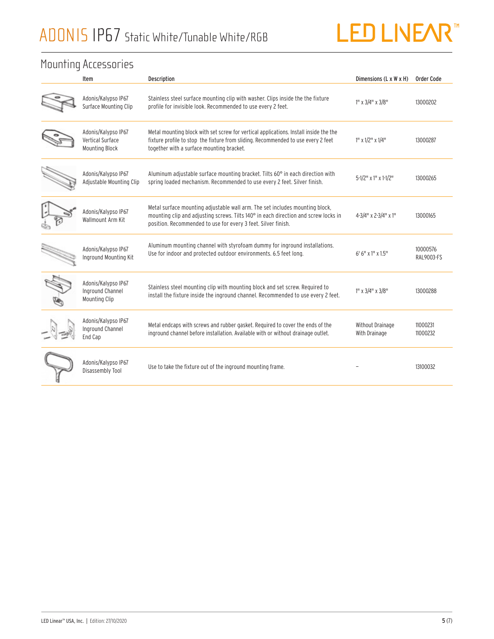

### Mounting Accessories

| Item                                                                    | Description                                                                                                                                                                                                                          | Dimensions (L x W x H)            | Order Code             |
|-------------------------------------------------------------------------|--------------------------------------------------------------------------------------------------------------------------------------------------------------------------------------------------------------------------------------|-----------------------------------|------------------------|
| Adonis/Kalypso IP67<br>Surface Mounting Clip                            | Stainless steel surface mounting clip with washer. Clips inside the the fixture<br>profile for invisible look. Recommended to use every 2 feet.                                                                                      | 1" x 3/4" x 3/8"                  | 13000202               |
| Adonis/Kalypso IP67<br><b>Vertical Surface</b><br><b>Mounting Block</b> | Metal mounting block with set screw for vertical applications. Install inside the the<br>fixture profile to stop the fixture from sliding. Recommended to use every 2 feet<br>together with a surface mounting bracket.              | $1''$ x $1/2''$ x $1/4''$         | 13000287               |
| Adonis/Kalypso IP67<br>Adjustable Mounting Clip                         | Aluminum adjustable surface mounting bracket. Tilts 60° in each direction with<br>spring loaded mechanism. Recommended to use every 2 feet. Silver finish.                                                                           | 5-1/2" x 1" x 1-1/2"              | 13000265               |
| Adonis/Kalypso IP67<br>Wallmount Arm Kit                                | Metal surface mounting adjustable wall arm. The set includes mounting block,<br>mounting clip and adjusting screws. Tilts 140° in each direction and screw locks in<br>position. Recommended to use for every 3 feet. Silver finish. | 4-3/4" x 2-3/4" x 1"              | 13000165               |
| Adonis/Kalypso IP67<br>Inground Mounting Kit                            | Aluminum mounting channel with styrofoam dummy for inground installations.<br>Use for indoor and protected outdoor environments. 6.5 feet long.                                                                                      | 6' 6" x 1" x 1.5"                 | 10000576<br>RAL9003-FS |
| Adonis/Kalypso IP67<br>Inground Channel<br>Mounting Clip                | Stainless steel mounting clip with mounting block and set screw. Required to<br>install the fixture inside the inground channel. Recommended to use every 2 feet.                                                                    | 1" x 3/4" x 3/8"                  | 13000288               |
| Adonis/Kalypso IP67<br>Inground Channel<br>End Cap                      | Metal endcaps with screws and rubber gasket. Required to cover the ends of the<br>inground channel before installation. Available with or without drainage outlet.                                                                   | Without Drainage<br>With Drainage | 11000231<br>11000232   |
| Adonis/Kalypso IP67<br>Disassembly Tool                                 | Use to take the fixture out of the inground mounting frame.                                                                                                                                                                          |                                   | 13100032               |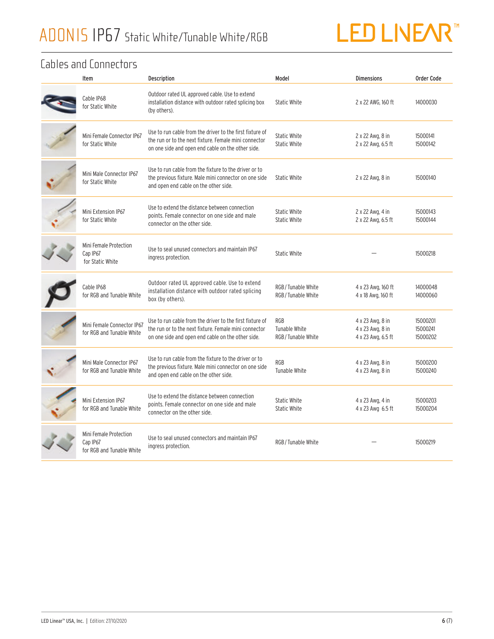

### Cables and Connectors

| Item                                                            | Description                                                                                                                                                            | Model                                              | <b>Dimensions</b>                                          | Order Code                       |
|-----------------------------------------------------------------|------------------------------------------------------------------------------------------------------------------------------------------------------------------------|----------------------------------------------------|------------------------------------------------------------|----------------------------------|
| Cable IP68<br>for Static White                                  | Outdoor rated UL approved cable. Use to extend<br>installation distance with outdoor rated splicing box<br>(by others).                                                | <b>Static White</b>                                | 2 x 22 AWG, 160 ft                                         | 14000030                         |
| Mini Female Connector IP67<br>for Static White                  | Use to run cable from the driver to the first fixture of<br>the run or to the next fixture. Female mini connector<br>on one side and open end cable on the other side. | <b>Static White</b><br><b>Static White</b>         | 2 x 22 Awg, 8 in<br>2 x 22 Awg, 6.5 ft                     | 15000141<br>15000142             |
| Mini Male Connector IP67<br>for Static White                    | Use to run cable from the fixture to the driver or to<br>the previous fixture. Male mini connector on one side<br>and open end cable on the other side.                | <b>Static White</b>                                | 2 x 22 Awg, 8 in                                           | 15000140                         |
| Mini Extension IP67<br>for Static White                         | Use to extend the distance between connection<br>points. Female connector on one side and male<br>connector on the other side.                                         | <b>Static White</b><br><b>Static White</b>         | 2 x 22 Awg, 4 in<br>2 x 22 Awg, 6.5 ft                     | 15000143<br>15000144             |
| Mini Female Protection<br>Cap IP67<br>for Static White          | Use to seal unused connectors and maintain IP67<br>ingress protection.                                                                                                 | <b>Static White</b>                                |                                                            | 15000218                         |
| Cable IP68<br>for RGB and Tunable White                         | Outdoor rated UL approved cable. Use to extend<br>installation distance with outdoor rated splicing<br>box (by others).                                                | RGB / Tunable White<br>RGB/Tunable White           | 4 x 23 Awg, 160 ft<br>4 x 18 Awg, 160 ft                   | 14000048<br>14000060             |
| Mini Female Connector IP67<br>for RGB and Tunable White         | Use to run cable from the driver to the first fixture of<br>the run or to the next fixture. Female mini connector<br>on one side and open end cable on the other side. | <b>RGB</b><br>Tunable White<br>RGB / Tunable White | 4 x 23 Awg, 8 in<br>4 x 23 Awg, 8 in<br>4 x 23 Awg, 6.5 ft | 15000201<br>15000241<br>15000202 |
| Mini Male Connector IP67<br>for RGB and Tunable White           | Use to run cable from the fixture to the driver or to<br>the previous fixture. Male mini connector on one side<br>and open end cable on the other side.                | <b>RGB</b><br>Tunable White                        | 4 x 23 Awg, 8 in<br>4 x 23 Awg, 8 in                       | 15000200<br>15000240             |
| Mini Extension IP67<br>for RGB and Tunable White                | Use to extend the distance between connection<br>points. Female connector on one side and male<br>connector on the other side.                                         | <b>Static White</b><br><b>Static White</b>         | 4 x 23 Awg, 4 in<br>4 x 23 Awg 6.5 ft                      | 15000203<br>15000204             |
| Mini Female Protection<br>Cap IP67<br>for RGB and Tunable White | Use to seal unused connectors and maintain IP67<br>ingress protection.                                                                                                 | RGB / Tunable White                                |                                                            | 15000219                         |